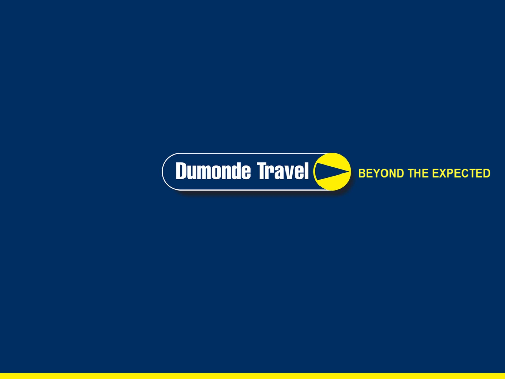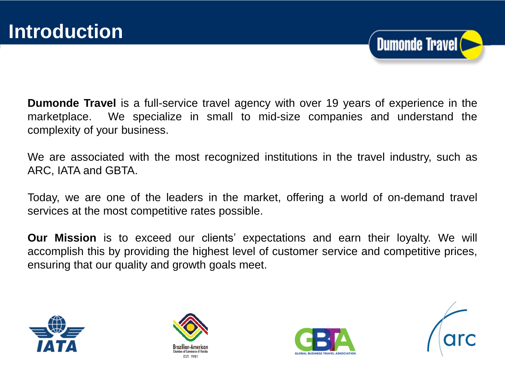

**Dumonde Travel** is a full-service travel agency with over 19 years of experience in the marketplace. We specialize in small to mid-size companies and understand the complexity of your business.

We are associated with the most recognized institutions in the travel industry, such as ARC, IATA and GBTA.

Today, we are one of the leaders in the market, offering a world of on-demand travel services at the most competitive rates possible.

**Our Mission** is to exceed our clients' expectations and earn their loyalty. We will accomplish this by providing the highest level of customer service and competitive prices, ensuring that our quality and growth goals meet.







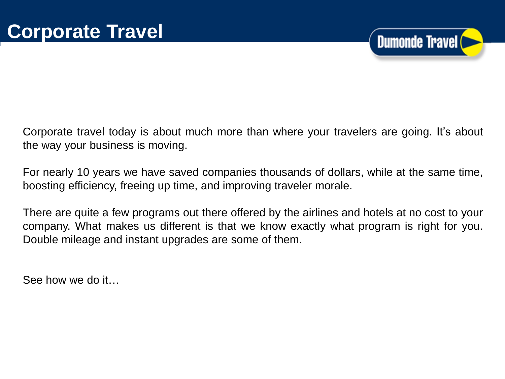

Corporate travel today is about much more than where your travelers are going. It's about the way your business is moving.

boosting efficiency, freeing up time, and improving traveler morale. this by providing **the highest level of customer service and competitive prices,** For nearly 10 years we have saved companies thousands of dollars, while at the same time,

There are quite a few programs out there offered by the airlines and hotels at no cost to your company. What makes us different is that we know exactly what program is right for you. Double mileage and instant upgrades are some of them.

See how we do it…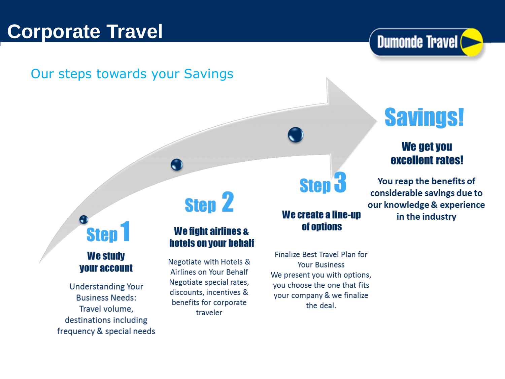## **Corporate Travel**

# **Dumonde Travel**

## Our steps towards your Savings



# **Savings!**

### We get you excellent rates!

 $Step 3$  You reap the benefits of **considerable savings due to** our knowledge & experience in the industry

## $\bullet$ **Step 1 We study**

## your account

**Understanding Your Business Needs:** Travel volume. destinations including frequency & special needs

# Step 2

### We fight airlines & hotels on your behalf

Negotiate with Hotels & Airlines on Your Behalf Negotiate special rates, discounts, incentives & benefits for corporate traveler

We create a line-un of options

Finalize Best Travel Plan for **Your Business** We present you with options, you choose the one that fits your company & we finalize the deal.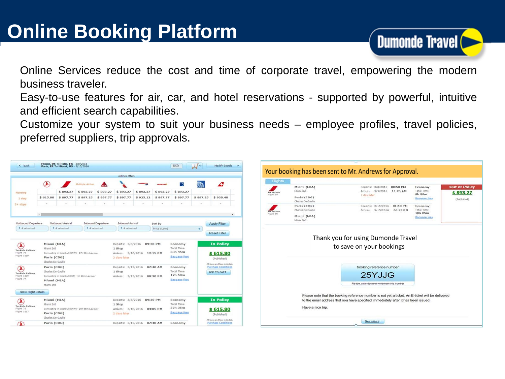## **Online Booking Platform**

Online Services reduce the cost and time of corporate travel, empowering the modern business traveler.

**Dumonde Travel** 

Easy-to-use features for air, car, and hotel reservations - supported by powerful, intuitive and efficient search capabilities.

Customize your system to suit your business needs – employee profiles, travel policies, preferred suppliers, trip approvals.

| < back                                                          |                                                                                                                 | Miami, US To Paris, FR - 3/8/2016<br>Paris, FR To Miami, US - 3/15/2016 |                               |                          |                                                                                        |          |             | USD                                                 | 0/v              | <b>Modify Search</b><br>$\ddot{}$                          |                                |                                                                                    | Your booking has been sent to Mr. Andrews for Approval.                                          |                                                      |
|-----------------------------------------------------------------|-----------------------------------------------------------------------------------------------------------------|-------------------------------------------------------------------------|-------------------------------|--------------------------|----------------------------------------------------------------------------------------|----------|-------------|-----------------------------------------------------|------------------|------------------------------------------------------------|--------------------------------|------------------------------------------------------------------------------------|--------------------------------------------------------------------------------------------------|------------------------------------------------------|
|                                                                 |                                                                                                                 |                                                                         |                               |                          | airlines offers                                                                        |          |             |                                                     |                  |                                                            |                                |                                                                                    |                                                                                                  |                                                      |
|                                                                 | $\alpha$                                                                                                        |                                                                         | Multiple Airline              | A                        |                                                                                        |          |             |                                                     |                  | £                                                          | Flights                        |                                                                                    |                                                                                                  |                                                      |
|                                                                 |                                                                                                                 | \$893.27                                                                | \$893.27<br>\$897.77 \$897.25 | \$893.27<br>\$897.77     | \$893.27                                                                               | \$893.27 | \$893.27    | \$893.27<br>\$897.77 \$897.77                       |                  |                                                            | Air France                     | Miami (MIA)<br>Miami Inti                                                          | 08:50 PM<br>Departs: 3/8/2016<br>Arrives:<br>3/9/2016 11:20 AM                                   | <b>Out of Policy</b><br>Economy<br><b>Total Time</b> |
| Nonstop                                                         | \$615.80                                                                                                        |                                                                         |                               |                          | \$897.77 \$925.12                                                                      |          |             |                                                     |                  | \$897.25 \$930.40                                          | Flight 99                      | Paris (CDG)                                                                        | 1 day later                                                                                      | \$893.27<br>8h 30m                                   |
| 1 stop                                                          |                                                                                                                 |                                                                         |                               |                          |                                                                                        |          |             |                                                     |                  |                                                            |                                | Charles De Gaulle                                                                  |                                                                                                  | <b>Baggage</b> fees<br>(Published)                   |
| $2 + stops$                                                     |                                                                                                                 |                                                                         |                               |                          |                                                                                        |          |             |                                                     |                  |                                                            |                                | Paris (CDG)                                                                        | Departs: 3/15/2016<br>01:50 PM                                                                   | Economy                                              |
|                                                                 |                                                                                                                 |                                                                         |                               |                          |                                                                                        |          |             |                                                     |                  |                                                            | <b>Air France</b><br>Flight 90 | Charles De Gaulle                                                                  | 06:55 PM<br>Arrives:<br>3/15/2016                                                                | Total Time<br>10h 05m                                |
|                                                                 |                                                                                                                 |                                                                         |                               |                          |                                                                                        |          |             |                                                     |                  |                                                            |                                | Miami (MIA)<br>Miami Intl.                                                         |                                                                                                  | <b>Baggage</b> fees                                  |
| Outbound Departure                                              |                                                                                                                 | Outbound Arrival                                                        |                               | <b>Inbound Departure</b> | <b>Inbound Arrival</b>                                                                 |          | Sort By     |                                                     |                  | <b>Apply Filter</b>                                        |                                |                                                                                    |                                                                                                  |                                                      |
| # 4 selected                                                    |                                                                                                                 | <sup>0</sup> 4 selected                                                 | # 4 selected                  |                          | <b>0</b> 4 selected                                                                    |          | Price (Low) |                                                     | $-1$             |                                                            |                                |                                                                                    |                                                                                                  |                                                      |
|                                                                 |                                                                                                                 |                                                                         |                               |                          |                                                                                        |          |             |                                                     |                  | <b>Reset Filter</b>                                        |                                |                                                                                    | Thank you for using Dumonde Travel                                                               |                                                      |
|                                                                 | Miami (MIA)                                                                                                     |                                                                         |                               |                          | Departs: 3/8/2016 09:30 PM<br>Economy                                                  |          |             |                                                     | <b>In Policy</b> |                                                            |                                |                                                                                    |                                                                                                  |                                                      |
| $\alpha$<br><b>Turkish Airlines</b><br>Flight 78<br>Flight 1819 | Miami Intl<br>Connecting in Istanbul (SAW) - 17h 00m Layover<br>Paris (CDG)<br>Charles De Gaulle                |                                                                         |                               |                          | 1 Stop<br>3/10/2016 12:15 PM<br>Arrives:<br>2 days later                               |          |             | <b>Total Time</b><br>33h 45m                        |                  |                                                            |                                | to save on your bookings                                                           |                                                                                                  |                                                      |
|                                                                 |                                                                                                                 |                                                                         |                               |                          |                                                                                        |          |             |                                                     |                  | \$615.80                                                   |                                |                                                                                    |                                                                                                  |                                                      |
|                                                                 |                                                                                                                 |                                                                         |                               |                          |                                                                                        |          |             | <b>Baggage fees</b>                                 |                  | (Published)                                                |                                |                                                                                    |                                                                                                  |                                                      |
|                                                                 | Paris (CDG)<br>Charles De Gaulle<br>Connecting in Istanbul (IST) - 1h 10m Layover<br>Miami (MIA)<br>Miami Inti  |                                                                         |                               |                          | 07:40 AM<br>Departs: 3/15/2016                                                         |          |             | Economy                                             |                  | All fares and fees included.<br><b>Purchase Conditions</b> |                                |                                                                                    | booking reference number                                                                         |                                                      |
| $\alpha$<br><b>Turkish Airlines</b><br>Flight 1830<br>Flight 77 |                                                                                                                 |                                                                         |                               |                          | 1 Stop<br>3/15/2016 08:30 PM<br>Arrives:                                               |          |             | <b>Total Time</b><br>17h 50m<br><b>Baggage</b> fees |                  | ADD TO CART                                                |                                |                                                                                    |                                                                                                  |                                                      |
|                                                                 |                                                                                                                 |                                                                         |                               |                          |                                                                                        |          |             |                                                     |                  |                                                            |                                |                                                                                    | 25YJJG                                                                                           |                                                      |
|                                                                 |                                                                                                                 |                                                                         |                               |                          |                                                                                        |          |             |                                                     |                  |                                                            |                                |                                                                                    | Please, write down or remember this number                                                       |                                                      |
|                                                                 |                                                                                                                 |                                                                         |                               |                          |                                                                                        |          |             |                                                     |                  |                                                            |                                |                                                                                    |                                                                                                  |                                                      |
| <b>Show Flight Details</b>                                      |                                                                                                                 |                                                                         |                               |                          |                                                                                        |          |             |                                                     |                  |                                                            |                                |                                                                                    | Please note that the booking reference number is not yet a ticket. An E-ticket will be delivered |                                                      |
| $\alpha$<br><b>Turkish Airlines</b><br>Flight 70<br>Flight 1817 | Miami (MIA)<br>Miami Inti<br>Connecting in Istanbul (SAW) - 20h 55m Layover<br>Paris (CDG)<br>Charles De Gaulle |                                                                         |                               |                          | Departs: 3/8/2016 09:30 PM<br>1 Stop<br>3/10/2016 04:05 PM<br>Arrives:<br>2 days later |          | Economy     |                                                     | <b>In Policy</b> |                                                            |                                | to the email address that you have specified immediately after it has been issued. |                                                                                                  |                                                      |
|                                                                 |                                                                                                                 |                                                                         |                               |                          |                                                                                        |          |             | <b>Total Time</b><br>37h 35m                        |                  |                                                            |                                | Have a nice trip.                                                                  |                                                                                                  |                                                      |
|                                                                 |                                                                                                                 |                                                                         |                               |                          |                                                                                        |          |             | <b>Baggage fees</b>                                 |                  | \$615.80                                                   |                                |                                                                                    |                                                                                                  |                                                      |
|                                                                 |                                                                                                                 |                                                                         |                               |                          |                                                                                        |          |             |                                                     |                  | (Published)                                                |                                |                                                                                    |                                                                                                  |                                                      |
| ∩                                                               | Paris (CDG)                                                                                                     |                                                                         |                               |                          | Departs: 3/15/2016 07:40 AM                                                            |          |             | Economy                                             |                  | All fares and fees included.<br><b>Purchase Conditions</b> |                                |                                                                                    | New search                                                                                       |                                                      |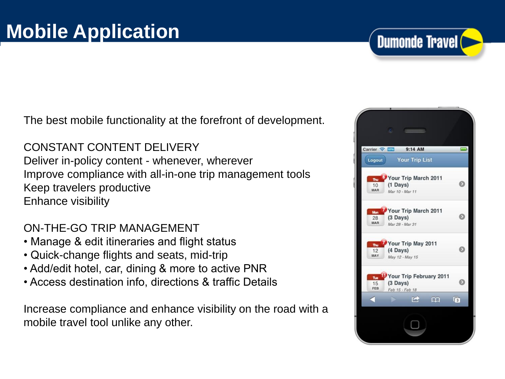The best mobile functionality at the forefront of development.

 $\mathsf{Keep}\$  travelers productive  $\mathsf{I}$ this by providing **the highest level of customer service and competitive prices,** Enhance visibility and growth growth growth growth growth growth growth growth growth growth growth growth growth growth growth growth growth growth growth growth growth growth growth growth growth growth growth growth gro CONSTANT CONTENT DELIVERY Deliver in-policy content - whenever, wherever Improve compliance with all-in-one trip management tools

ON-THE-GO TRIP MANAGEMENT

- Manage & edit itineraries and flight status
- Quick-change flights and seats, mid-trip
- Add/edit hotel, car, dining & more to active PNR
- Access destination info, directions & traffic Details

Increase compliance and enhance visibility on the road with a mobile travel tool unlike any other.



**Dumonde Travel**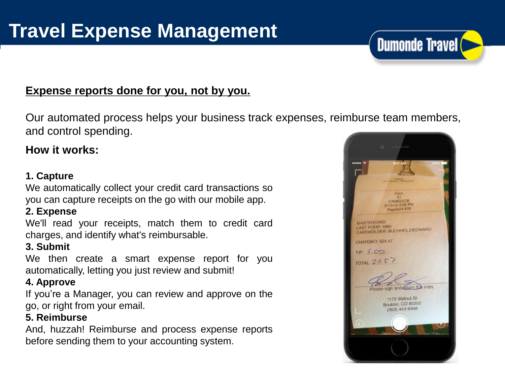#### **Expense reports done for you, not by you.**

Our automated process helps your business track expenses, reimburse team members, and control spending.

#### **How it works:**

#### **1. Capture**

The expectation is to expect our credit card transactions so the stations of the stations of the stations of the stations of the stations of the stations of the stations of the stations of the stations of the stations of t the continue theory but the service customer **but there computed leveller and contract the service prices**,  $\frac{1}{40}$ ensuring that the our measuring and the continuous style you can capture receipts on the go with our mobile app.

#### **2. Expense**

We'll read your receipts, match them to credit card charges, and identify what's reimbursable.

#### **3. Submit**

We then create a smart expense report for you automatically, letting you just review and submit!

#### **4. Approve**

If you're a Manager, you can review and approve on the go, or right from your email.

#### **5. Reimburse**

And, huzzah! Reimburse and process expense reports before sending them to your accounting system.



**Dumonde Travel**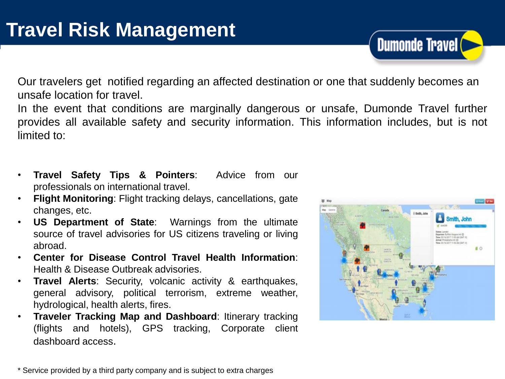Our travelers get notified regarding an affected destination or one that suddenly becomes an unsafe location for travel.

In the event that conditions are marginally dangerous or unsafe, Dumonde Travel further provides all available safety and security information. This information includes, but is not limited to:

- professionals on international travel. • **Travel Safety Tips & Pointers**: Advice from our
- **• Flight Monitoring**: Flight tracking delays, cancellations, gate www.competitive. changes, etc.
- **US Department of State**: Warnings from the ultimate source of travel advisories for US citizens traveling or living abroad.
- **Center for Disease Control Travel Health Information**: Health & Disease Outbreak advisories.
- **Travel Alerts**: Security, volcanic activity & earthquakes, general advisory, political terrorism, extreme weather, hydrological, health alerts, fires.
- **Traveler Tracking Map and Dashboard**: Itinerary tracking (flights and hotels), GPS tracking, Corporate client dashboard access.



**Dumonde Travel** 

\* Service provided by a third party company and is subject to extra charges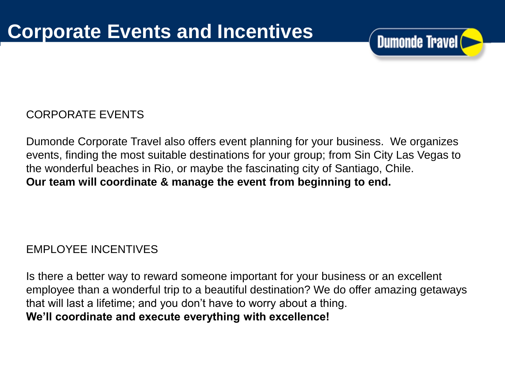

### CORPORATE EVENTS

Our team will coordinate & manage the event from beginning to end. Dumonde Corporate Travel also offers event planning for your business. We organizes events, finding the most suitable destinations for your group; from Sin City Las Vegas to the wonderful beaches in Rio, or maybe the fascinating city of Santiago, Chile.

### EMPLOYEE INCENTIVES

Is there a better way to reward someone important for your business or an excellent employee than a wonderful trip to a beautiful destination? We do offer amazing getaways that will last a lifetime; and you don't have to worry about a thing. **We'll coordinate and execute everything with excellence!**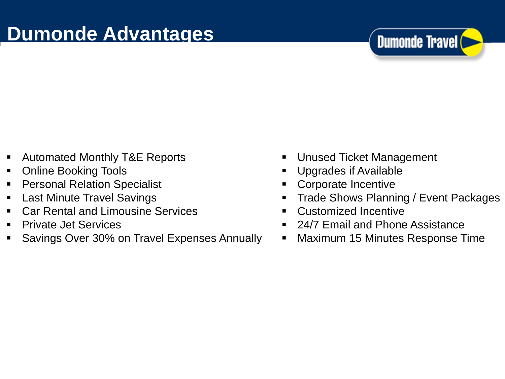## **Dumonde Advantages**

# **Dumonde Travel**

- Automated Monthly T&E Reports
- Online Booking Tools
- Personal Relation Specialist 
Corporate Incentive
- Last Minute Travel Savings
- Car Rental and Limousine Services
- **Private Jet Services**
- Savings Over 30% on Travel Expenses Annually
- **Unused Ticket Management**
- Upgrades if Available
- Corporate Incentive
- **higherthest Chinese Excell Chinese Shows Planning / Event Packages** 
	- Customized Incentive
	- 24/7 Email and Phone Assistance
	- Maximum 15 Minutes Response Time